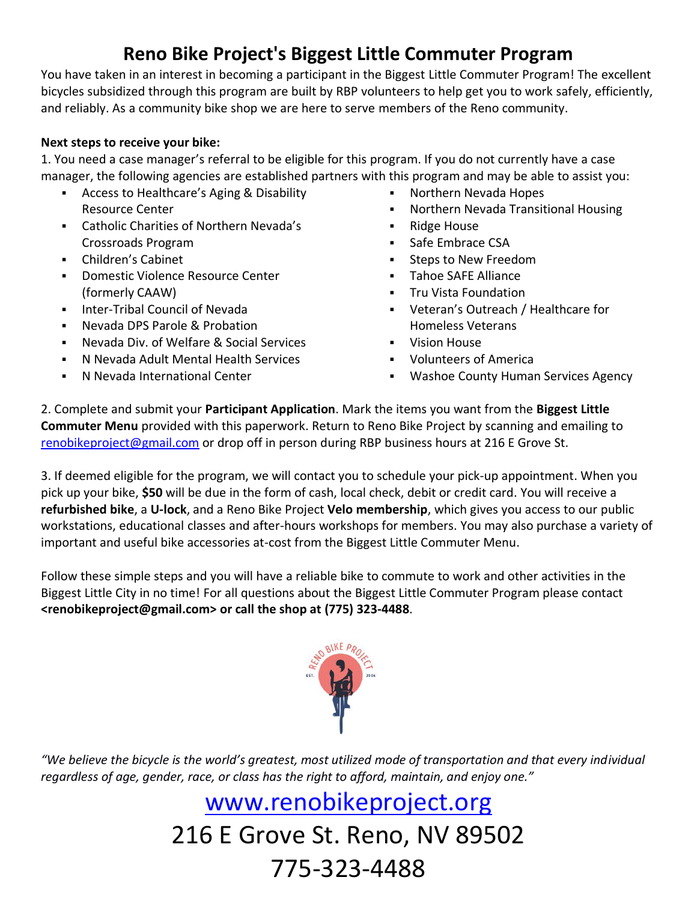## **Reno Bike Project's Biggest Little Commuter Program**

You have taken in an interest in becoming a participant in the Biggest Little Commuter Program! The excellent bicycles subsidized through this program are built by RBP volunteers to help get you to work safely, efficiently, and reliably. As a community bike shop we are here to serve members of the Reno community.

#### **Next steps to receive your bike:**

1. You need a case manager's referral to be eligible for this program. If you do not currently have a case manager, the following agencies are established partners with this program and may be able to assist you:

- Access to Healthcare's Aging & Disability Resource Center
- Catholic Charities of Northern Nevada's Crossroads Program
- Children's Cabinet
- Domestic Violence Resource Center (formerly CAAW)
- **Inter-Tribal Council of Nevada**
- Nevada DPS Parole & Probation
- Nevada Div. of Welfare & Social Services
- N Nevada Adult Mental Health Services
- N Nevada International Center
- **Northern Nevada Hopes**
- Northern Nevada Transitional Housing
- Ridge House
- **Safe Embrace CSA**
- **Steps to New Freedom**
- **Tahoe SAFE Alliance**
- **Tru Vista Foundation**
- Veteran's Outreach / Healthcare for Homeless Veterans
- **•** Vision House
- Volunteers of America
- **Washoe County Human Services Agency**

2. Complete and submit your **Participant Application**. Mark the items you want from the **Biggest Little Commuter Menu** provided with this paperwork. Return to Reno Bike Project by scanning and emailing to renobikeproject@gmail.com or drop off in person during RBP business hours at 216 E Grove St.

3. If deemed eligible for the program, we will contact you to schedule your pick-up appointment. When you pick up your bike, **\$50** will be due in the form of cash, local check, debit or credit card. You will receive a **refurbished bike**, a **U-lock**, and a Reno Bike Project **Velo membership**, which gives you access to our public workstations, educational classes and after-hours workshops for members. You may also purchase a variety of important and useful bike accessories at-cost from the Biggest Little Commuter Menu.

Follow these simple steps and you will have a reliable bike to commute to work and other activities in the Biggest Little City in no time! For all questions about the Biggest Little Commuter Program please contact **<renobikeproject@gmail.com> or call the shop at (775) 323-4488**.



*"We believe the bicycle is the world's greatest, most utilized mode of transportation and that every individual* regardless of age, gender, race, or class has the right to afford, maintain, and enjoy one."

# www.renobikeproject.org 216 E Grove St. Reno, NV 89502 775-323-4488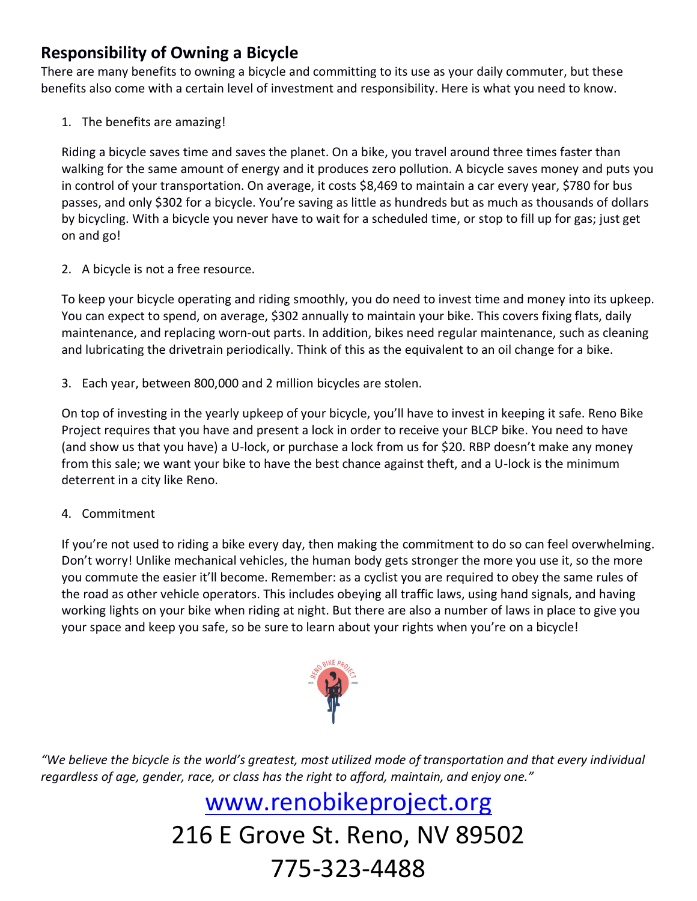### **Responsibility of Owning a Bicycle**

There are many benefits to owning a bicycle and committing to its use as your daily commuter, but these benefits also come with a certain level of investment and responsibility. Here is what you need to know.

1. The benefits are amazing!

Riding a bicycle saves time and saves the planet. On a bike, you travel around three times faster than walking for the same amount of energy and it produces zero pollution. A bicycle saves money and puts you in control of your transportation. On average, it costs \$8,469 to maintain a car every year, \$780 for bus passes, and only \$302 for a bicycle. You're saving as little as hundreds but as much as thousands of dollars by bicycling. With a bicycle you never have to wait for a scheduled time, or stop to fill up for gas; just get on and go!

2. A bicycle is not a free resource.

To keep your bicycle operating and riding smoothly, you do need to invest time and money into its upkeep. You can expect to spend, on average, \$302 annually to maintain your bike. This covers fixing flats, daily maintenance, and replacing worn-out parts. In addition, bikes need regular maintenance, such as cleaning and lubricating the drivetrain periodically. Think of this as the equivalent to an oil change for a bike.

3. Each year, between 800,000 and 2 million bicycles are stolen.

On top of investing in the yearly upkeep of your bicycle, you'll have to invest in keeping it safe. Reno Bike Project requires that you have and present a lock in order to receive your BLCP bike. You need to have (and show us that you have) a U-lock, or purchase a lock from us for \$20. RBP doesn't make any money from this sale; we want your bike to have the best chance against theft, and a U-lock is the minimum deterrent in a city like Reno.

4. Commitment

If you're not used to riding a bike every day, then making the commitment to do so can feel overwhelming. Don't worry! Unlike mechanical vehicles, the human body gets stronger the more you use it, so the more you commute the easier it'll become. Remember: as a cyclist you are required to obey the same rules of the road as other vehicle operators. This includes obeying all traffic laws, using hand signals, and having working lights on your bike when riding at night. But there are also a number of laws in place to give you your space and keep you safe, so be sure to learn about your rights when you're on a bicycle!



*"We believe the bicycle is the world's greatest, most utilized mode of transportation and that every individual* regardless of age, gender, race, or class has the right to afford, maintain, and enjoy one."

# www.renobikeproject.org 216 E Grove St. Reno, NV 89502 775-323-4488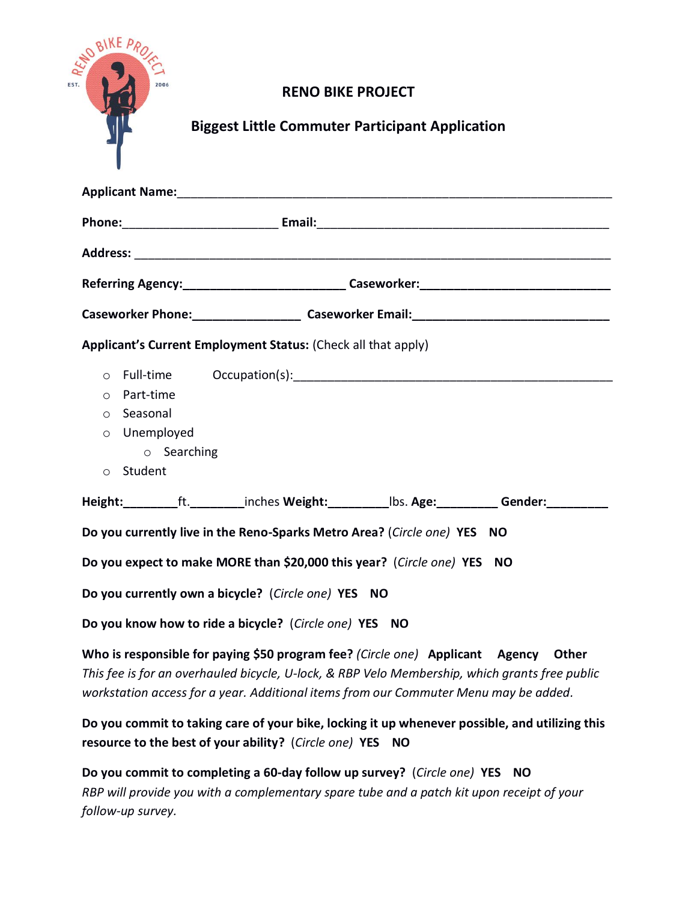| <b>READ BIKE A.</b><br>EST.<br>2006                             | <b>RENO BIKE PROJECT</b><br><b>Biggest Little Commuter Participant Application</b>                                                                                                                                                                                                                                                                                                                                                              |
|-----------------------------------------------------------------|-------------------------------------------------------------------------------------------------------------------------------------------------------------------------------------------------------------------------------------------------------------------------------------------------------------------------------------------------------------------------------------------------------------------------------------------------|
|                                                                 |                                                                                                                                                                                                                                                                                                                                                                                                                                                 |
|                                                                 |                                                                                                                                                                                                                                                                                                                                                                                                                                                 |
|                                                                 |                                                                                                                                                                                                                                                                                                                                                                                                                                                 |
|                                                                 |                                                                                                                                                                                                                                                                                                                                                                                                                                                 |
|                                                                 | Applicant's Current Employment Status: (Check all that apply)                                                                                                                                                                                                                                                                                                                                                                                   |
| o Part-time<br>o Seasonal<br>o Unemployed<br>Student<br>$\circ$ | $\circ$ Searching<br>Height: __________ft. __________inches Weight: ____________lbs. Age: ___________ Gender: __________<br>Do you currently live in the Reno-Sparks Metro Area? (Circle one) YES NO<br>Do you expect to make MORE than \$20,000 this year? (Circle one) YES NO<br>Do you currently own a bicycle? (Circle one) YES NO<br>Do you know how to ride a bicycle? (Circle one) YES NO                                                |
|                                                                 | Who is responsible for paying \$50 program fee? (Circle one) Applicant Agency<br>Other<br>This fee is for an overhauled bicycle, U-lock, & RBP Velo Membership, which grants free public<br>workstation access for a year. Additional items from our Commuter Menu may be added.<br>Do you commit to taking care of your bike, locking it up whenever possible, and utilizing this<br>resource to the best of your ability? (Circle one) YES NO |
| follow-up survey.                                               | Do you commit to completing a 60-day follow up survey? (Circle one) YES NO<br>RBP will provide you with a complementary spare tube and a patch kit upon receipt of your                                                                                                                                                                                                                                                                         |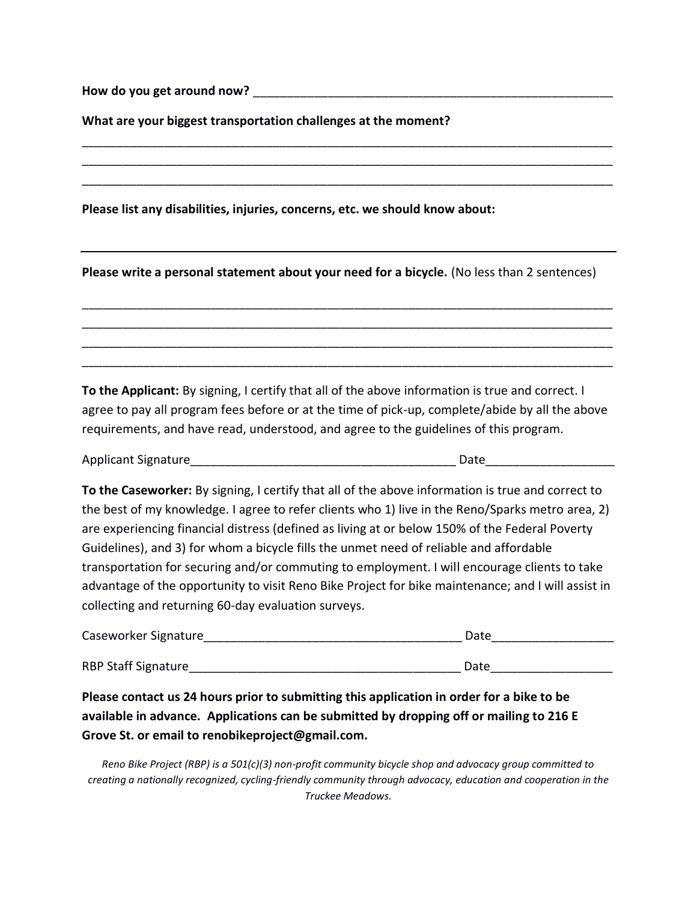How do you get around now?

**What are your biggest transportation challenges at the moment?**

**Please list any disabilities, injuries, concerns, etc. we should know about:**

**Please write a personal statement about your need for a bicycle.** (No less than 2 sentences)

\_\_\_\_\_\_\_\_\_\_\_\_\_\_\_\_\_\_\_\_\_\_\_\_\_\_\_\_\_\_\_\_\_\_\_\_\_\_\_\_\_\_\_\_\_\_\_\_\_\_\_\_\_\_\_\_\_\_\_\_\_\_\_\_\_\_\_\_\_\_\_\_\_\_\_\_\_\_ \_\_\_\_\_\_\_\_\_\_\_\_\_\_\_\_\_\_\_\_\_\_\_\_\_\_\_\_\_\_\_\_\_\_\_\_\_\_\_\_\_\_\_\_\_\_\_\_\_\_\_\_\_\_\_\_\_\_\_\_\_\_\_\_\_\_\_\_\_\_\_\_\_\_\_\_\_\_ \_\_\_\_\_\_\_\_\_\_\_\_\_\_\_\_\_\_\_\_\_\_\_\_\_\_\_\_\_\_\_\_\_\_\_\_\_\_\_\_\_\_\_\_\_\_\_\_\_\_\_\_\_\_\_\_\_\_\_\_\_\_\_\_\_\_\_\_\_\_\_\_\_\_\_\_\_\_ \_\_\_\_\_\_\_\_\_\_\_\_\_\_\_\_\_\_\_\_\_\_\_\_\_\_\_\_\_\_\_\_\_\_\_\_\_\_\_\_\_\_\_\_\_\_\_\_\_\_\_\_\_\_\_\_\_\_\_\_\_\_\_\_\_\_\_\_\_\_\_\_\_\_\_\_\_\_

\_\_\_\_\_\_\_\_\_\_\_\_\_\_\_\_\_\_\_\_\_\_\_\_\_\_\_\_\_\_\_\_\_\_\_\_\_\_\_\_\_\_\_\_\_\_\_\_\_\_\_\_\_\_\_\_\_\_\_\_\_\_\_\_\_\_\_\_\_\_\_\_\_\_\_\_\_\_ \_\_\_\_\_\_\_\_\_\_\_\_\_\_\_\_\_\_\_\_\_\_\_\_\_\_\_\_\_\_\_\_\_\_\_\_\_\_\_\_\_\_\_\_\_\_\_\_\_\_\_\_\_\_\_\_\_\_\_\_\_\_\_\_\_\_\_\_\_\_\_\_\_\_\_\_\_\_ \_\_\_\_\_\_\_\_\_\_\_\_\_\_\_\_\_\_\_\_\_\_\_\_\_\_\_\_\_\_\_\_\_\_\_\_\_\_\_\_\_\_\_\_\_\_\_\_\_\_\_\_\_\_\_\_\_\_\_\_\_\_\_\_\_\_\_\_\_\_\_\_\_\_\_\_\_\_

**To the Applicant:** By signing, I certify that all of the above information is true and correct. I agree to pay all program fees before or at the time of pick-up, complete/abide by all the above requirements, and have read, understood, and agree to the guidelines of this program.

Applicant Signature\_\_\_\_\_\_\_\_\_\_\_\_\_\_\_\_\_\_\_\_\_\_\_\_\_\_\_\_\_\_\_\_\_\_\_\_\_\_\_ Date\_\_\_\_\_\_\_\_\_\_\_\_\_\_\_\_\_\_\_

**To the Caseworker:** By signing, I certify that all of the above information is true and correct to the best of my knowledge. I agree to refer clients who 1) live in the Reno/Sparks metro area, 2) are experiencing financial distress (defined as living at or below 150% of the Federal Poverty Guidelines), and 3) for whom a bicycle fills the unmet need of reliable and affordable transportation for securing and/or commuting to employment. I will encourage clients to take advantage of the opportunity to visit Reno Bike Project for bike maintenance; and I will assist in collecting and returning 60-day evaluation surveys.

| Caseworker Signature       | Date |  |  |
|----------------------------|------|--|--|
|                            |      |  |  |
| <b>RBP Staff Signature</b> | Date |  |  |

**Please contact us 24 hours prior to submitting this application in order for a bike to be available in advance. Applications can be submitted by dropping off or mailing to 216 E Grove St. or email to renobikeproject@gmail.com.**

*Reno Bike Project (RBP) is a 501(c)(3) non-profit community bicycle shop and advocacy group committed to creating a nationally recognized, cycling-friendly community through advocacy, education and cooperation in the Truckee Meadows.*